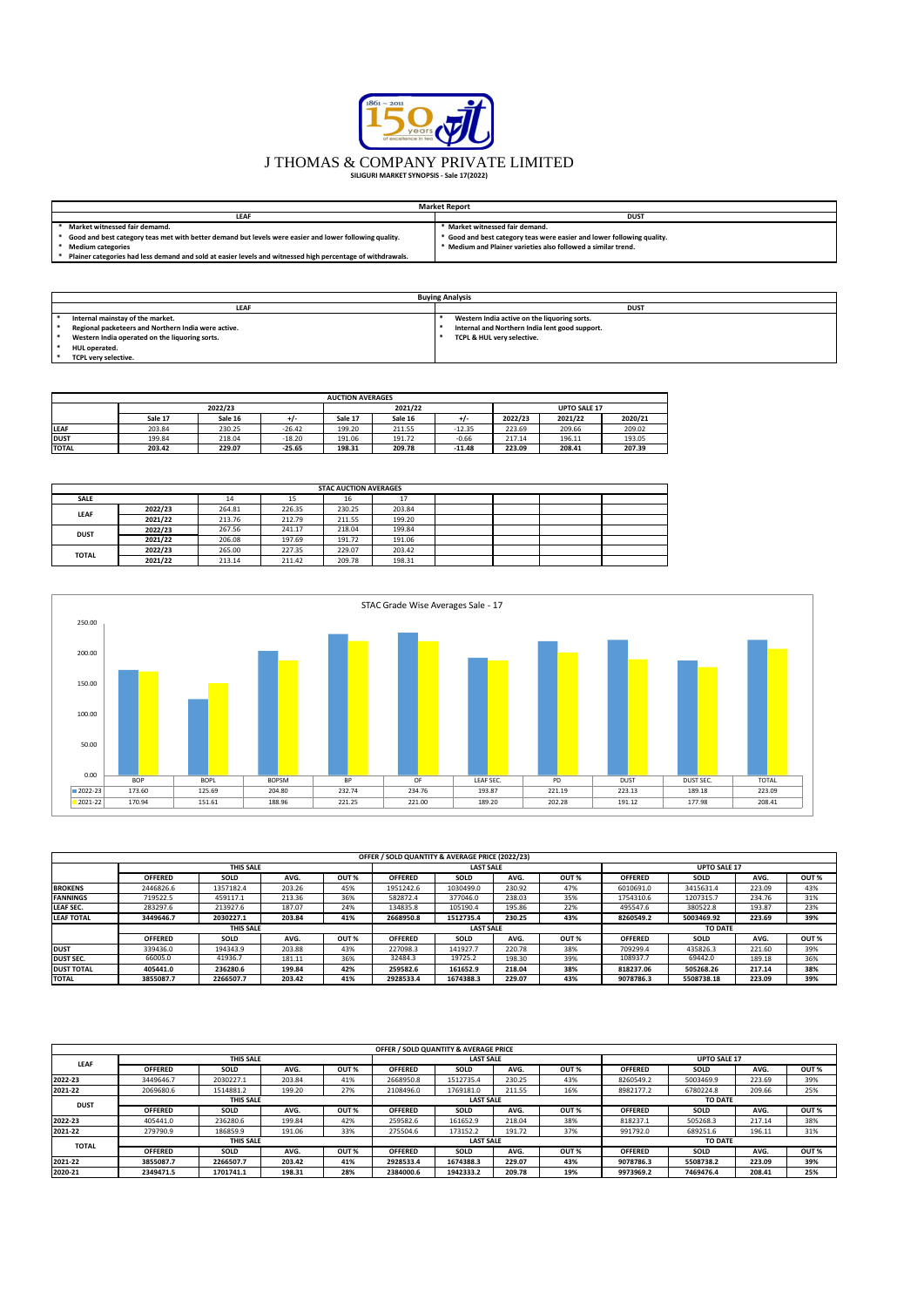| <b>Market Report</b>                                                                                       |                                                                        |  |  |  |  |  |  |  |
|------------------------------------------------------------------------------------------------------------|------------------------------------------------------------------------|--|--|--|--|--|--|--|
| <b>LEAF</b>                                                                                                | <b>DUST</b>                                                            |  |  |  |  |  |  |  |
| Market witnessed fair demamd.                                                                              | Market witnessed fair demand.                                          |  |  |  |  |  |  |  |
| Good and best category teas met with better demand but levels were easier and lower following quality.     | * Good and best category teas were easier and lower following quality. |  |  |  |  |  |  |  |
| <b>Medium categories</b>                                                                                   | * Medium and Plainer varieties also followed a similar trend.          |  |  |  |  |  |  |  |
| Plainer categories had less demand and sold at easier levels and witnessed high percentage of withdrawals. |                                                                        |  |  |  |  |  |  |  |

| <b>Buying Analysis</b>                              |                                                |  |  |  |  |  |  |  |  |
|-----------------------------------------------------|------------------------------------------------|--|--|--|--|--|--|--|--|
| <b>LEAF</b>                                         | <b>DUST</b>                                    |  |  |  |  |  |  |  |  |
| Internal mainstay of the market.                    | Western India active on the liquoring sorts.   |  |  |  |  |  |  |  |  |
| Regional packeteers and Northern India were active. | Internal and Northern India lent good support. |  |  |  |  |  |  |  |  |
| Western India operated on the liquoring sorts.      | TCPL & HUL very selective.                     |  |  |  |  |  |  |  |  |
| <b>HUL operated.</b>                                |                                                |  |  |  |  |  |  |  |  |
| TCPL very selective.                                |                                                |  |  |  |  |  |  |  |  |

|              | <b>AUCTION AVERAGES</b> |         |          |         |         |          |                     |         |         |  |  |  |  |
|--------------|-------------------------|---------|----------|---------|---------|----------|---------------------|---------|---------|--|--|--|--|
|              |                         | 2022/23 |          |         | 2021/22 |          | <b>UPTO SALE 17</b> |         |         |  |  |  |  |
|              | Sale 17                 | Sale 16 |          | Sale 17 | Sale 16 | +1-      | 2022/23             | 2021/22 | 2020/21 |  |  |  |  |
| <b>LEAF</b>  | 203.84                  | 230.25  | $-26.42$ | 199.20  | 211.55  | $-12.35$ | 223.69              | 209.66  | 209.02  |  |  |  |  |
| <b>DUST</b>  | 199.84                  | 218.04  | $-18.20$ | 191.06  | 191.72  | $-0.66$  | 217.14              | 196.11  | 193.05  |  |  |  |  |
| <b>TOTAL</b> | 203.42                  | 229.07  | -25.65   | 198.31  | 209.78  | $-11.48$ | 223.09              | 208.41  | 207.39  |  |  |  |  |

|              | <b>STAC AUCTION AVERAGES</b> |        |        |        |                |  |  |  |  |  |  |  |  |
|--------------|------------------------------|--------|--------|--------|----------------|--|--|--|--|--|--|--|--|
| <b>SALE</b>  |                              | 14     | 15     | 16     | 17<br><b>L</b> |  |  |  |  |  |  |  |  |
| <b>LEAF</b>  | 2022/23                      | 264.81 | 226.35 | 230.25 | 203.84         |  |  |  |  |  |  |  |  |
|              | 2021/22                      | 213.76 | 212.79 | 211.55 | 199.20         |  |  |  |  |  |  |  |  |
| <b>DUST</b>  | 2022/23                      | 267.56 | 241.17 | 218.04 | 199.84         |  |  |  |  |  |  |  |  |
|              | 2021/22                      | 206.08 | 197.69 | 191.72 | 191.06         |  |  |  |  |  |  |  |  |
| <b>TOTAL</b> | 2022/23                      | 265.00 | 227.35 | 229.07 | 203.42         |  |  |  |  |  |  |  |  |
|              | 2021/22                      | 213.14 | 211.42 | 209.78 | 198.31         |  |  |  |  |  |  |  |  |

|                   |                |                  |        |                  | OFFER / SOLD QUANTITY & AVERAGE PRICE (2022/23) |                  |        |      |                |                     |        |                  |  |
|-------------------|----------------|------------------|--------|------------------|-------------------------------------------------|------------------|--------|------|----------------|---------------------|--------|------------------|--|
|                   |                | <b>THIS SALE</b> |        |                  | <b>LAST SALE</b>                                |                  |        |      |                | <b>UPTO SALE 17</b> |        |                  |  |
|                   | <b>OFFERED</b> | <b>SOLD</b>      | AVG.   | OUT %            | <b>OFFERED</b>                                  | <b>SOLD</b>      | AVG.   | OUT% | <b>OFFERED</b> | <b>SOLD</b>         | AVG.   | OUT%             |  |
| <b>BROKENS</b>    | 2446826.6      | 1357182.4        | 203.26 | 45%              | 1951242.6                                       | 1030499.0        | 230.92 | 47%  | 6010691.0      | 3415631.4           | 223.09 | 43%              |  |
| <b>FANNINGS</b>   | 719522.5       | 459117.1         | 213.36 | 36%              | 582872.4                                        | 377046.0         | 238.03 | 35%  | 1754310.6      | 1207315.7           | 234.76 | 31%              |  |
| <b>LEAF SEC.</b>  | 283297.6       | 213927.6         | 187.07 | 24%              | 134835.8                                        | 105190.4         | 195.86 | 22%  | 495547.6       | 380522.8            | 193.87 | 23%              |  |
| <b>LEAF TOTAL</b> | 3449646.7      | 2030227.1        | 203.84 | 41%              | 2668950.8                                       | 1512735.4        | 230.25 | 43%  | 8260549.2      | 5003469.92          | 223.69 | 39%              |  |
|                   |                | <b>THIS SALE</b> |        |                  |                                                 | <b>LAST SALE</b> |        |      |                | <b>TO DATE</b>      |        |                  |  |
|                   | <b>OFFERED</b> | <b>SOLD</b>      | AVG.   | OUT <sup>%</sup> | <b>OFFERED</b>                                  | <b>SOLD</b>      | AVG.   | OUT% | <b>OFFERED</b> | <b>SOLD</b>         | AVG.   | OUT <sub>%</sub> |  |
| <b>DUST</b>       | 339436.0       | 194343.9         | 203.88 | 43%              | 227098.3                                        | 141927.7         | 220.78 | 38%  | 709299.4       | 435826.3            | 221.60 | 39%              |  |
| <b>DUST SEC.</b>  | 66005.0        | 41936.7          | 181.11 | 36%              | 32484.3                                         | 19725.2          | 198.30 | 39%  | 108937.7       | 69442.0             | 189.18 | 36%              |  |
| <b>DUST TOTAL</b> | 405441.0       | 236280.6         | 199.84 | 42%              | 259582.6                                        | 161652.9         | 218.04 | 38%  | 818237.06      | 505268.26           | 217.14 | 38%              |  |
| <b>TOTAL</b>      | 3855087.7      | 2266507.7        | 203.42 | 41%              | 2928533.4                                       | 1674388.3        | 229.07 | 43%  | 9078786.3      | 5508738.18          | 223.09 | 39%              |  |

|              |                |                  |        |                  |                | OFFER / SOLD QUANTITY & AVERAGE PRICE |        |                  |                |                |        |                  |
|--------------|----------------|------------------|--------|------------------|----------------|---------------------------------------|--------|------------------|----------------|----------------|--------|------------------|
|              |                | <b>LAST SALE</b> |        |                  |                | <b>UPTO SALE 17</b>                   |        |                  |                |                |        |                  |
| <b>LEAF</b>  | <b>OFFERED</b> | <b>SOLD</b>      | AVG.   | OUT <sub>%</sub> | <b>OFFERED</b> | <b>SOLD</b>                           | AVG.   | OUT%             | <b>OFFERED</b> | <b>SOLD</b>    | AVG.   | OUT%             |
| 2022-23      | 3449646.7      | 2030227.1        | 203.84 | 41%              | 2668950.8      | 1512735.4                             | 230.25 | 43%              | 8260549.2      | 5003469.9      | 223.69 | 39%              |
| 2021-22      | 2069680.6      | 1514881.2        | 199.20 | 27%              | 2108496.0      | 1769181.0                             | 211.55 | 16%              | 8982177.2      | 6780224.8      | 209.66 | 25%              |
|              |                | <b>LAST SALE</b> |        |                  |                | <b>TO DATE</b>                        |        |                  |                |                |        |                  |
| <b>DUST</b>  | <b>OFFERED</b> | <b>SOLD</b>      | AVG.   | OUT%             | <b>OFFERED</b> | <b>SOLD</b>                           | AVG.   | OUT%             | <b>OFFERED</b> | SOLD           | AVG.   | OUT <sub>%</sub> |
| 2022-23      | 405441.0       | 236280.6         | 199.84 | 42%              | 259582.6       | 161652.9                              | 218.04 | 38%              | 818237.1       | 505268.3       | 217.14 | 38%              |
| 2021-22      | 279790.9       | 186859.9         | 191.06 | 33%              | 275504.6       | 173152.2                              | 191.72 | 37%              | 991792.0       | 689251.6       | 196.11 | 31%              |
|              |                | <b>THIS SALE</b> |        |                  |                | <b>LAST SALE</b>                      |        |                  |                | <b>TO DATE</b> |        |                  |
| <b>TOTAL</b> | <b>OFFERED</b> | <b>SOLD</b>      | AVG.   | OUT <sub>%</sub> | <b>OFFERED</b> | <b>SOLD</b>                           | AVG.   | OUT <sub>%</sub> | <b>OFFERED</b> | <b>SOLD</b>    | AVG.   | OUT%             |
| 2021-22      | 3855087.7      | 2266507.7        | 203.42 | 41%              | 2928533.4      | 1674388.3                             | 229.07 | 43%              | 9078786.3      | 5508738.2      | 223.09 | 39%              |
| 2020-21      | 2349471.5      | 1701741.1        | 198.31 | 28%              | 2384000.6      | 1942333.2                             | 209.78 | 19%              | 9973969.2      | 7469476.4      | 208.41 | 25%              |